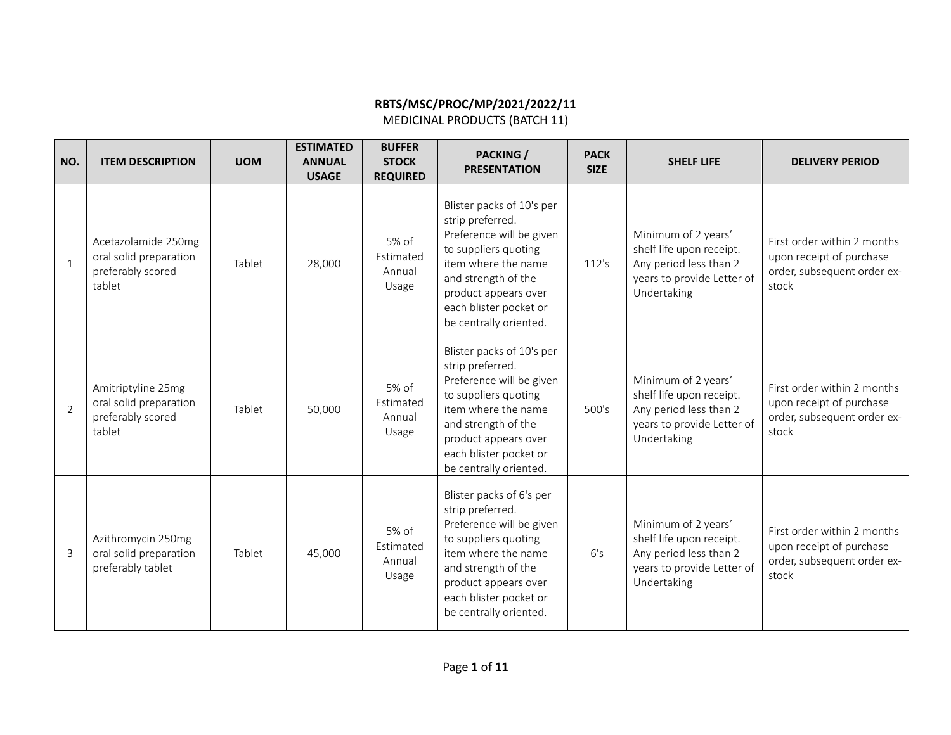## **RBTS/MSC/PROC/MP/2021/2022/11**

MEDICINAL PRODUCTS (BATCH 11)

| NO.            | <b>ITEM DESCRIPTION</b>                                                      | <b>UOM</b> | <b>ESTIMATED</b><br><b>ANNUAL</b><br><b>USAGE</b> | <b>BUFFER</b><br><b>STOCK</b><br><b>REQUIRED</b> | <b>PACKING /</b><br><b>PRESENTATION</b>                                                                                                                                                                                     | <b>PACK</b><br><b>SIZE</b> | <b>SHELF LIFE</b>                                                                                                      | <b>DELIVERY PERIOD</b>                                                                          |
|----------------|------------------------------------------------------------------------------|------------|---------------------------------------------------|--------------------------------------------------|-----------------------------------------------------------------------------------------------------------------------------------------------------------------------------------------------------------------------------|----------------------------|------------------------------------------------------------------------------------------------------------------------|-------------------------------------------------------------------------------------------------|
| $\mathbf{1}$   | Acetazolamide 250mg<br>oral solid preparation<br>preferably scored<br>tablet | Tablet     | 28,000                                            | 5% of<br>Estimated<br>Annual<br>Usage            | Blister packs of 10's per<br>strip preferred.<br>Preference will be given<br>to suppliers quoting<br>item where the name<br>and strength of the<br>product appears over<br>each blister pocket or<br>be centrally oriented. | 112's                      | Minimum of 2 years'<br>shelf life upon receipt.<br>Any period less than 2<br>years to provide Letter of<br>Undertaking | First order within 2 months<br>upon receipt of purchase<br>order, subsequent order ex-<br>stock |
| $\overline{2}$ | Amitriptyline 25mg<br>oral solid preparation<br>preferably scored<br>tablet  | Tablet     | 50,000                                            | 5% of<br>Estimated<br>Annual<br>Usage            | Blister packs of 10's per<br>strip preferred.<br>Preference will be given<br>to suppliers quoting<br>item where the name<br>and strength of the<br>product appears over<br>each blister pocket or<br>be centrally oriented. | 500's                      | Minimum of 2 years'<br>shelf life upon receipt.<br>Any period less than 2<br>years to provide Letter of<br>Undertaking | First order within 2 months<br>upon receipt of purchase<br>order, subsequent order ex-<br>stock |
| 3              | Azithromycin 250mg<br>oral solid preparation<br>preferably tablet            | Tablet     | 45,000                                            | 5% of<br>Estimated<br>Annual<br>Usage            | Blister packs of 6's per<br>strip preferred.<br>Preference will be given<br>to suppliers quoting<br>item where the name<br>and strength of the<br>product appears over<br>each blister pocket or<br>be centrally oriented.  | 6's                        | Minimum of 2 years'<br>shelf life upon receipt.<br>Any period less than 2<br>years to provide Letter of<br>Undertaking | First order within 2 months<br>upon receipt of purchase<br>order, subsequent order ex-<br>stock |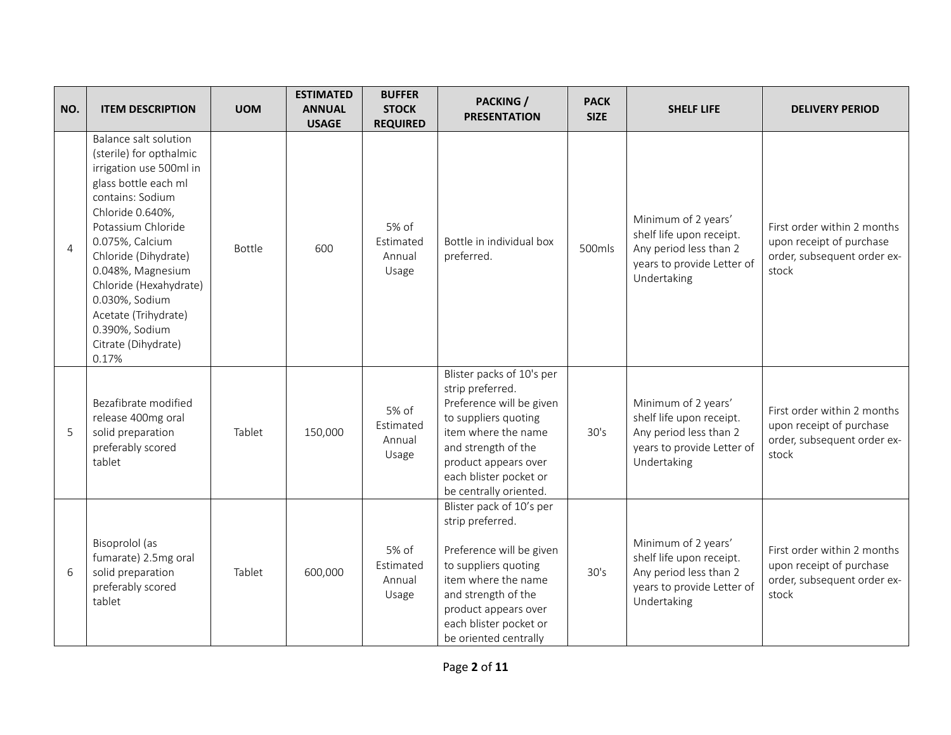| NO.            | <b>ITEM DESCRIPTION</b>                                                                                                                                                                                                                                                                                                                                 | <b>UOM</b>    | <b>ESTIMATED</b><br><b>ANNUAL</b><br><b>USAGE</b> | <b>BUFFER</b><br><b>STOCK</b><br><b>REQUIRED</b> | PACKING /<br><b>PRESENTATION</b>                                                                                                                                                                                            | <b>PACK</b><br><b>SIZE</b> | <b>SHELF LIFE</b>                                                                                                      | <b>DELIVERY PERIOD</b>                                                                          |
|----------------|---------------------------------------------------------------------------------------------------------------------------------------------------------------------------------------------------------------------------------------------------------------------------------------------------------------------------------------------------------|---------------|---------------------------------------------------|--------------------------------------------------|-----------------------------------------------------------------------------------------------------------------------------------------------------------------------------------------------------------------------------|----------------------------|------------------------------------------------------------------------------------------------------------------------|-------------------------------------------------------------------------------------------------|
| $\overline{4}$ | Balance salt solution<br>(sterile) for opthalmic<br>irrigation use 500ml in<br>glass bottle each ml<br>contains: Sodium<br>Chloride 0.640%,<br>Potassium Chloride<br>0.075%, Calcium<br>Chloride (Dihydrate)<br>0.048%, Magnesium<br>Chloride (Hexahydrate)<br>0.030%, Sodium<br>Acetate (Trihydrate)<br>0.390%, Sodium<br>Citrate (Dihydrate)<br>0.17% | <b>Bottle</b> | 600                                               | 5% of<br>Estimated<br>Annual<br>Usage            | Bottle in individual box<br>preferred.                                                                                                                                                                                      | 500mls                     | Minimum of 2 years'<br>shelf life upon receipt.<br>Any period less than 2<br>years to provide Letter of<br>Undertaking | First order within 2 months<br>upon receipt of purchase<br>order, subsequent order ex-<br>stock |
| 5              | Bezafibrate modified<br>release 400mg oral<br>solid preparation<br>preferably scored<br>tablet                                                                                                                                                                                                                                                          | Tablet        | 150,000                                           | 5% of<br>Estimated<br>Annual<br>Usage            | Blister packs of 10's per<br>strip preferred.<br>Preference will be given<br>to suppliers quoting<br>item where the name<br>and strength of the<br>product appears over<br>each blister pocket or<br>be centrally oriented. | 30's                       | Minimum of 2 years'<br>shelf life upon receipt.<br>Any period less than 2<br>years to provide Letter of<br>Undertaking | First order within 2 months<br>upon receipt of purchase<br>order, subsequent order ex-<br>stock |
| 6              | Bisoprolol (as<br>fumarate) 2.5mg oral<br>solid preparation<br>preferably scored<br>tablet                                                                                                                                                                                                                                                              | Tablet        | 600,000                                           | 5% of<br>Estimated<br>Annual<br>Usage            | Blister pack of 10's per<br>strip preferred.<br>Preference will be given<br>to suppliers quoting<br>item where the name<br>and strength of the<br>product appears over<br>each blister pocket or<br>be oriented centrally   | 30's                       | Minimum of 2 years'<br>shelf life upon receipt.<br>Any period less than 2<br>years to provide Letter of<br>Undertaking | First order within 2 months<br>upon receipt of purchase<br>order, subsequent order ex-<br>stock |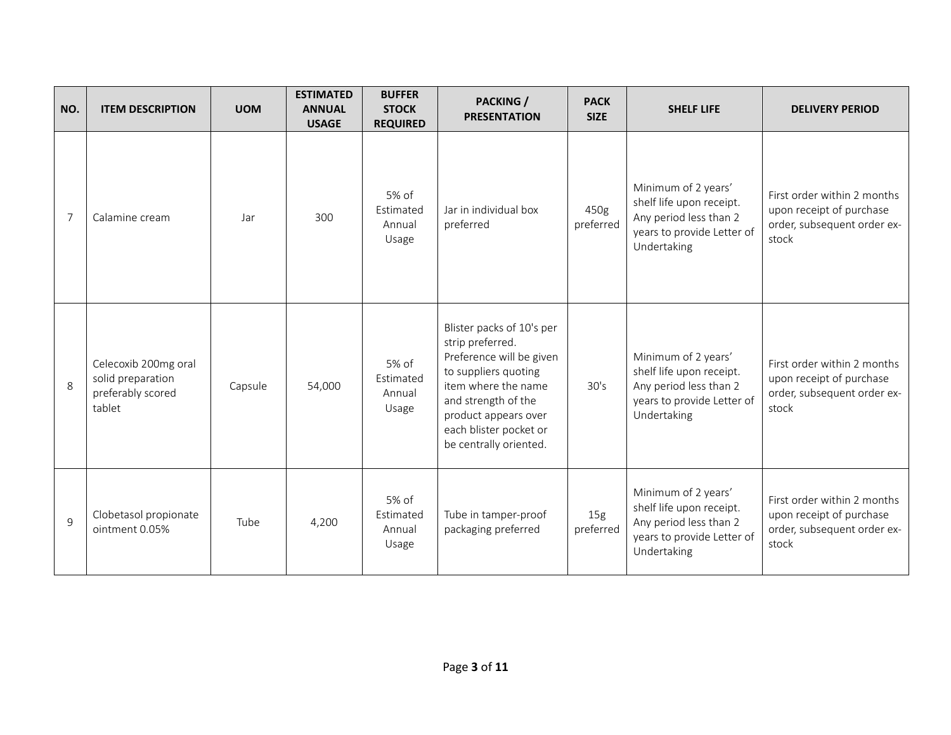| NO. | <b>ITEM DESCRIPTION</b>                                                  | <b>UOM</b> | <b>ESTIMATED</b><br><b>ANNUAL</b><br><b>USAGE</b> | <b>BUFFER</b><br><b>STOCK</b><br><b>REQUIRED</b> | <b>PACKING</b> /<br><b>PRESENTATION</b>                                                                                                                                                                                     | <b>PACK</b><br><b>SIZE</b> | <b>SHELF LIFE</b>                                                                                                      | <b>DELIVERY PERIOD</b>                                                                          |
|-----|--------------------------------------------------------------------------|------------|---------------------------------------------------|--------------------------------------------------|-----------------------------------------------------------------------------------------------------------------------------------------------------------------------------------------------------------------------------|----------------------------|------------------------------------------------------------------------------------------------------------------------|-------------------------------------------------------------------------------------------------|
| 7   | Calamine cream                                                           | Jar        | 300                                               | 5% of<br>Estimated<br>Annual<br>Usage            | Jar in individual box<br>preferred                                                                                                                                                                                          | 450g<br>preferred          | Minimum of 2 years'<br>shelf life upon receipt.<br>Any period less than 2<br>years to provide Letter of<br>Undertaking | First order within 2 months<br>upon receipt of purchase<br>order, subsequent order ex-<br>stock |
| 8   | Celecoxib 200mg oral<br>solid preparation<br>preferably scored<br>tablet | Capsule    | 54,000                                            | $5%$ of<br>Estimated<br>Annual<br>Usage          | Blister packs of 10's per<br>strip preferred.<br>Preference will be given<br>to suppliers quoting<br>item where the name<br>and strength of the<br>product appears over<br>each blister pocket or<br>be centrally oriented. | 30's                       | Minimum of 2 years'<br>shelf life upon receipt.<br>Any period less than 2<br>years to provide Letter of<br>Undertaking | First order within 2 months<br>upon receipt of purchase<br>order, subsequent order ex-<br>stock |
| 9   | Clobetasol propionate<br>ointment 0.05%                                  | Tube       | 4,200                                             | 5% of<br>Estimated<br>Annual<br>Usage            | Tube in tamper-proof<br>packaging preferred                                                                                                                                                                                 | 15g<br>preferred           | Minimum of 2 years'<br>shelf life upon receipt.<br>Any period less than 2<br>years to provide Letter of<br>Undertaking | First order within 2 months<br>upon receipt of purchase<br>order, subsequent order ex-<br>stock |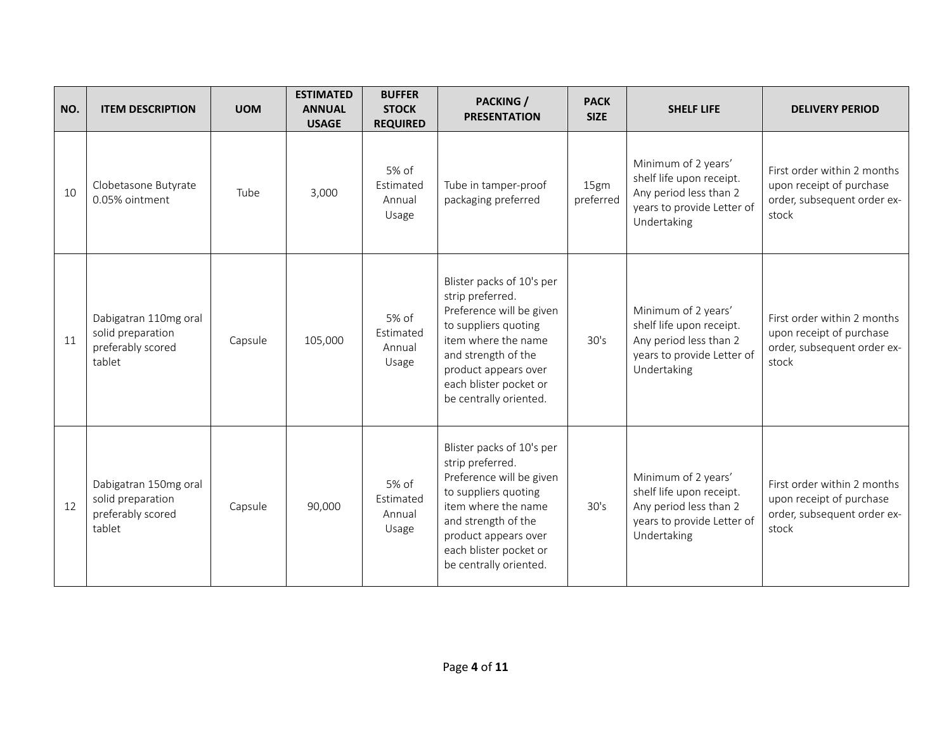| NO. | <b>ITEM DESCRIPTION</b>                                                   | <b>UOM</b> | <b>ESTIMATED</b><br><b>ANNUAL</b><br><b>USAGE</b> | <b>BUFFER</b><br><b>STOCK</b><br><b>REQUIRED</b> | <b>PACKING /</b><br><b>PRESENTATION</b>                                                                                                                                                                                     | <b>PACK</b><br><b>SIZE</b> | <b>SHELF LIFE</b>                                                                                                      | <b>DELIVERY PERIOD</b>                                                                          |
|-----|---------------------------------------------------------------------------|------------|---------------------------------------------------|--------------------------------------------------|-----------------------------------------------------------------------------------------------------------------------------------------------------------------------------------------------------------------------------|----------------------------|------------------------------------------------------------------------------------------------------------------------|-------------------------------------------------------------------------------------------------|
| 10  | Clobetasone Butyrate<br>0.05% ointment                                    | Tube       | 3,000                                             | 5% of<br>Estimated<br>Annual<br>Usage            | Tube in tamper-proof<br>packaging preferred                                                                                                                                                                                 | 15gm<br>preferred          | Minimum of 2 years'<br>shelf life upon receipt.<br>Any period less than 2<br>years to provide Letter of<br>Undertaking | First order within 2 months<br>upon receipt of purchase<br>order, subsequent order ex-<br>stock |
| 11  | Dabigatran 110mg oral<br>solid preparation<br>preferably scored<br>tablet | Capsule    | 105,000                                           | 5% of<br>Estimated<br>Annual<br>Usage            | Blister packs of 10's per<br>strip preferred.<br>Preference will be given<br>to suppliers quoting<br>item where the name<br>and strength of the<br>product appears over<br>each blister pocket or<br>be centrally oriented. | 30's                       | Minimum of 2 years'<br>shelf life upon receipt.<br>Any period less than 2<br>years to provide Letter of<br>Undertaking | First order within 2 months<br>upon receipt of purchase<br>order, subsequent order ex-<br>stock |
| 12  | Dabigatran 150mg oral<br>solid preparation<br>preferably scored<br>tablet | Capsule    | 90,000                                            | 5% of<br>Estimated<br>Annual<br>Usage            | Blister packs of 10's per<br>strip preferred.<br>Preference will be given<br>to suppliers quoting<br>item where the name<br>and strength of the<br>product appears over<br>each blister pocket or<br>be centrally oriented. | 30's                       | Minimum of 2 years'<br>shelf life upon receipt.<br>Any period less than 2<br>years to provide Letter of<br>Undertaking | First order within 2 months<br>upon receipt of purchase<br>order, subsequent order ex-<br>stock |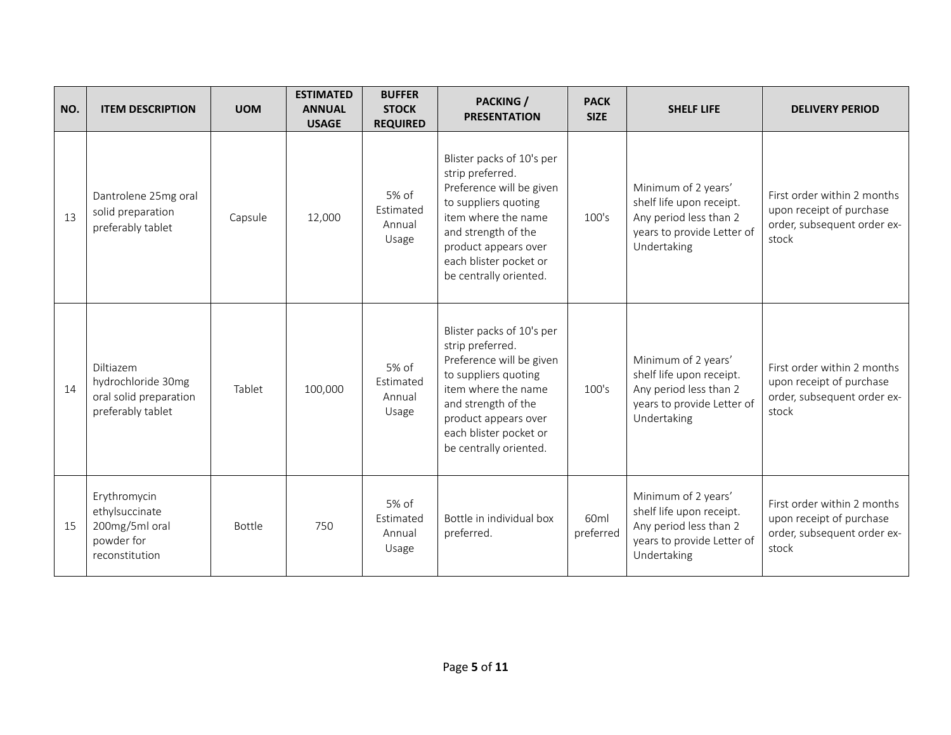| NO. | <b>ITEM DESCRIPTION</b>                                                          | <b>UOM</b>    | <b>ESTIMATED</b><br><b>ANNUAL</b><br><b>USAGE</b> | <b>BUFFER</b><br><b>STOCK</b><br><b>REQUIRED</b> | <b>PACKING /</b><br><b>PRESENTATION</b>                                                                                                                                                                                     | <b>PACK</b><br><b>SIZE</b>    | <b>SHELF LIFE</b>                                                                                                      | <b>DELIVERY PERIOD</b>                                                                          |
|-----|----------------------------------------------------------------------------------|---------------|---------------------------------------------------|--------------------------------------------------|-----------------------------------------------------------------------------------------------------------------------------------------------------------------------------------------------------------------------------|-------------------------------|------------------------------------------------------------------------------------------------------------------------|-------------------------------------------------------------------------------------------------|
| 13  | Dantrolene 25mg oral<br>solid preparation<br>preferably tablet                   | Capsule       | 12,000                                            | 5% of<br>Estimated<br>Annual<br>Usage            | Blister packs of 10's per<br>strip preferred.<br>Preference will be given<br>to suppliers quoting<br>item where the name<br>and strength of the<br>product appears over<br>each blister pocket or<br>be centrally oriented. | 100's                         | Minimum of 2 years'<br>shelf life upon receipt.<br>Any period less than 2<br>years to provide Letter of<br>Undertaking | First order within 2 months<br>upon receipt of purchase<br>order, subsequent order ex-<br>stock |
| 14  | Diltiazem<br>hydrochloride 30mg<br>oral solid preparation<br>preferably tablet   | Tablet        | 100,000                                           | 5% of<br>Estimated<br>Annual<br>Usage            | Blister packs of 10's per<br>strip preferred.<br>Preference will be given<br>to suppliers quoting<br>item where the name<br>and strength of the<br>product appears over<br>each blister pocket or<br>be centrally oriented. | 100's                         | Minimum of 2 years'<br>shelf life upon receipt.<br>Any period less than 2<br>years to provide Letter of<br>Undertaking | First order within 2 months<br>upon receipt of purchase<br>order, subsequent order ex-<br>stock |
| 15  | Erythromycin<br>ethylsuccinate<br>200mg/5ml oral<br>powder for<br>reconstitution | <b>Bottle</b> | 750                                               | $5%$ of<br>Estimated<br>Annual<br>Usage          | Bottle in individual box<br>preferred.                                                                                                                                                                                      | 60 <sub>ml</sub><br>preferred | Minimum of 2 years'<br>shelf life upon receipt.<br>Any period less than 2<br>years to provide Letter of<br>Undertaking | First order within 2 months<br>upon receipt of purchase<br>order, subsequent order ex-<br>stock |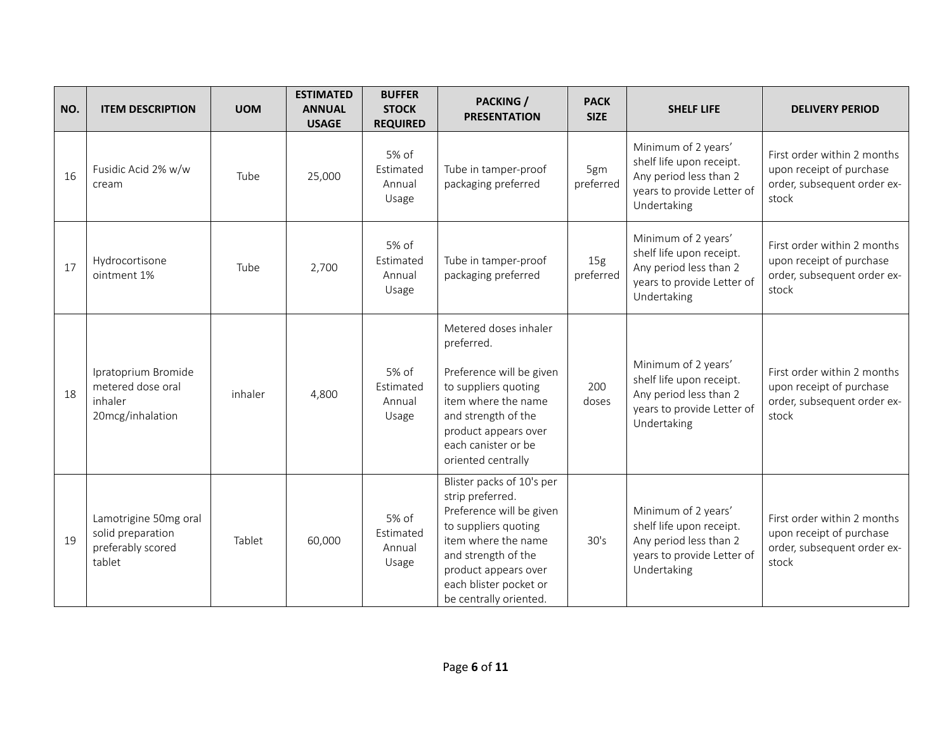| NO. | <b>ITEM DESCRIPTION</b>                                                   | <b>UOM</b> | <b>ESTIMATED</b><br><b>ANNUAL</b><br><b>USAGE</b> | <b>BUFFER</b><br><b>STOCK</b><br><b>REQUIRED</b> | PACKING /<br><b>PRESENTATION</b>                                                                                                                                                                                            | <b>PACK</b><br><b>SIZE</b>   | <b>SHELF LIFE</b>                                                                                                      | <b>DELIVERY PERIOD</b>                                                                          |
|-----|---------------------------------------------------------------------------|------------|---------------------------------------------------|--------------------------------------------------|-----------------------------------------------------------------------------------------------------------------------------------------------------------------------------------------------------------------------------|------------------------------|------------------------------------------------------------------------------------------------------------------------|-------------------------------------------------------------------------------------------------|
| 16  | Fusidic Acid 2% w/w<br>cream                                              | Tube       | 25,000                                            | 5% of<br>Estimated<br>Annual<br>Usage            | Tube in tamper-proof<br>packaging preferred                                                                                                                                                                                 | 5gm<br>preferred             | Minimum of 2 years'<br>shelf life upon receipt.<br>Any period less than 2<br>years to provide Letter of<br>Undertaking | First order within 2 months<br>upon receipt of purchase<br>order, subsequent order ex-<br>stock |
| 17  | Hydrocortisone<br>ointment 1%                                             | Tube       | 2,700                                             | 5% of<br>Estimated<br>Annual<br>Usage            | Tube in tamper-proof<br>packaging preferred                                                                                                                                                                                 | 15 <sub>g</sub><br>preferred | Minimum of 2 years'<br>shelf life upon receipt.<br>Any period less than 2<br>years to provide Letter of<br>Undertaking | First order within 2 months<br>upon receipt of purchase<br>order, subsequent order ex-<br>stock |
| 18  | Ipratoprium Bromide<br>metered dose oral<br>inhaler<br>20mcg/inhalation   | inhaler    | 4,800                                             | 5% of<br>Estimated<br>Annual<br>Usage            | Metered doses inhaler<br>preferred.<br>Preference will be given<br>to suppliers quoting<br>item where the name<br>and strength of the<br>product appears over<br>each canister or be<br>oriented centrally                  | 200<br>doses                 | Minimum of 2 years'<br>shelf life upon receipt.<br>Any period less than 2<br>years to provide Letter of<br>Undertaking | First order within 2 months<br>upon receipt of purchase<br>order, subsequent order ex-<br>stock |
| 19  | Lamotrigine 50mg oral<br>solid preparation<br>preferably scored<br>tablet | Tablet     | 60,000                                            | 5% of<br>Estimated<br>Annual<br>Usage            | Blister packs of 10's per<br>strip preferred.<br>Preference will be given<br>to suppliers quoting<br>item where the name<br>and strength of the<br>product appears over<br>each blister pocket or<br>be centrally oriented. | 30's                         | Minimum of 2 years'<br>shelf life upon receipt.<br>Any period less than 2<br>years to provide Letter of<br>Undertaking | First order within 2 months<br>upon receipt of purchase<br>order, subsequent order ex-<br>stock |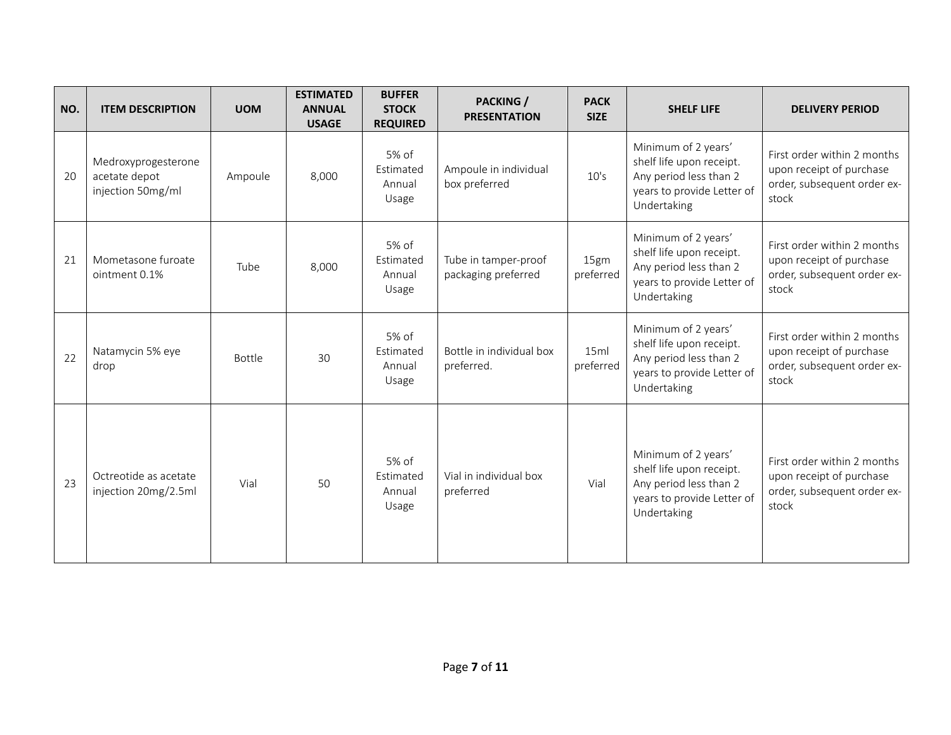| NO. | <b>ITEM DESCRIPTION</b>                                   | <b>UOM</b>    | <b>ESTIMATED</b><br><b>ANNUAL</b><br><b>USAGE</b> | <b>BUFFER</b><br><b>STOCK</b><br><b>REQUIRED</b> | <b>PACKING /</b><br><b>PRESENTATION</b>     | <b>PACK</b><br><b>SIZE</b> | <b>SHELF LIFE</b>                                                                                                      | <b>DELIVERY PERIOD</b>                                                                          |
|-----|-----------------------------------------------------------|---------------|---------------------------------------------------|--------------------------------------------------|---------------------------------------------|----------------------------|------------------------------------------------------------------------------------------------------------------------|-------------------------------------------------------------------------------------------------|
| 20  | Medroxyprogesterone<br>acetate depot<br>injection 50mg/ml | Ampoule       | 8,000                                             | 5% of<br>Estimated<br>Annual<br>Usage            | Ampoule in individual<br>box preferred      | 10's                       | Minimum of 2 years'<br>shelf life upon receipt.<br>Any period less than 2<br>years to provide Letter of<br>Undertaking | First order within 2 months<br>upon receipt of purchase<br>order, subsequent order ex-<br>stock |
| 21  | Mometasone furoate<br>ointment 0.1%                       | Tube          | 8,000                                             | 5% of<br>Estimated<br>Annual<br>Usage            | Tube in tamper-proof<br>packaging preferred | 15gm<br>preferred          | Minimum of 2 years'<br>shelf life upon receipt.<br>Any period less than 2<br>years to provide Letter of<br>Undertaking | First order within 2 months<br>upon receipt of purchase<br>order, subsequent order ex-<br>stock |
| 22  | Natamycin 5% eye<br>drop                                  | <b>Bottle</b> | 30                                                | 5% of<br>Estimated<br>Annual<br>Usage            | Bottle in individual box<br>preferred.      | 15ml<br>preferred          | Minimum of 2 years'<br>shelf life upon receipt.<br>Any period less than 2<br>years to provide Letter of<br>Undertaking | First order within 2 months<br>upon receipt of purchase<br>order, subsequent order ex-<br>stock |
| 23  | Octreotide as acetate<br>injection 20mg/2.5ml             | Vial          | 50                                                | 5% of<br>Estimated<br>Annual<br>Usage            | Vial in individual box<br>preferred         | Vial                       | Minimum of 2 years'<br>shelf life upon receipt.<br>Any period less than 2<br>years to provide Letter of<br>Undertaking | First order within 2 months<br>upon receipt of purchase<br>order, subsequent order ex-<br>stock |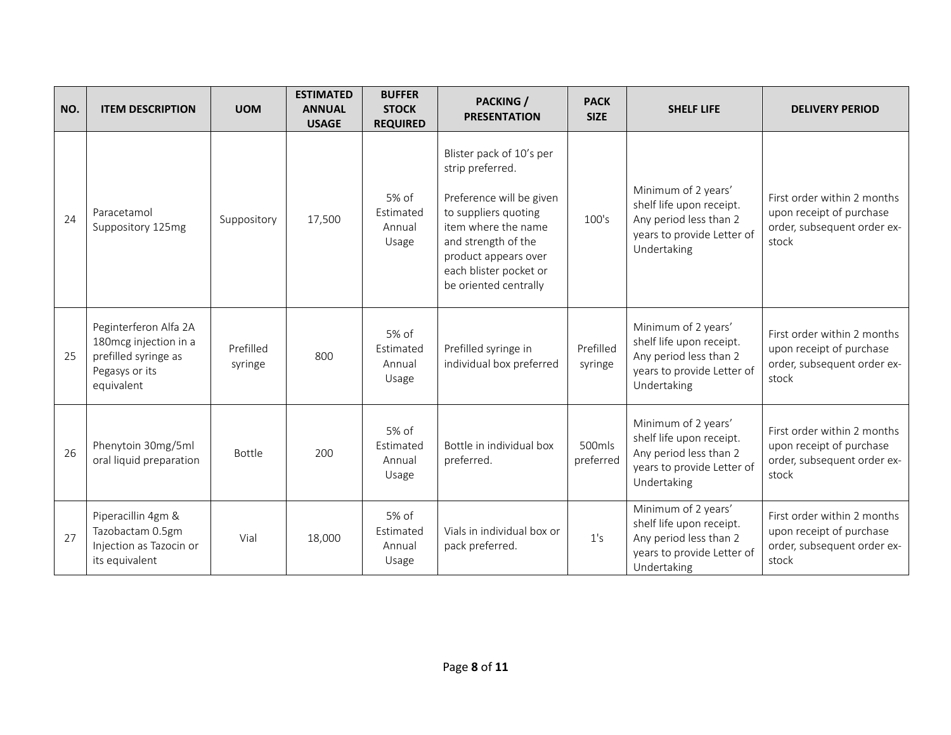| NO. | <b>ITEM DESCRIPTION</b>                                                                                | <b>UOM</b>           | <b>ESTIMATED</b><br><b>ANNUAL</b><br><b>USAGE</b> | <b>BUFFER</b><br><b>STOCK</b><br><b>REQUIRED</b> | <b>PACKING /</b><br><b>PRESENTATION</b>                                                                                                                                                                                   | <b>PACK</b><br><b>SIZE</b> | <b>SHELF LIFE</b>                                                                                                      | <b>DELIVERY PERIOD</b>                                                                          |
|-----|--------------------------------------------------------------------------------------------------------|----------------------|---------------------------------------------------|--------------------------------------------------|---------------------------------------------------------------------------------------------------------------------------------------------------------------------------------------------------------------------------|----------------------------|------------------------------------------------------------------------------------------------------------------------|-------------------------------------------------------------------------------------------------|
| 24  | Paracetamol<br>Suppository 125mg                                                                       | Suppository          | 17,500                                            | $5%$ of<br>Estimated<br>Annual<br>Usage          | Blister pack of 10's per<br>strip preferred.<br>Preference will be given<br>to suppliers quoting<br>item where the name<br>and strength of the<br>product appears over<br>each blister pocket or<br>be oriented centrally | 100's                      | Minimum of 2 years'<br>shelf life upon receipt.<br>Any period less than 2<br>years to provide Letter of<br>Undertaking | First order within 2 months<br>upon receipt of purchase<br>order, subsequent order ex-<br>stock |
| 25  | Peginterferon Alfa 2A<br>180mcg injection in a<br>prefilled syringe as<br>Pegasys or its<br>equivalent | Prefilled<br>syringe | 800                                               | 5% of<br>Estimated<br>Annual<br>Usage            | Prefilled syringe in<br>individual box preferred                                                                                                                                                                          | Prefilled<br>syringe       | Minimum of 2 years'<br>shelf life upon receipt.<br>Any period less than 2<br>years to provide Letter of<br>Undertaking | First order within 2 months<br>upon receipt of purchase<br>order, subsequent order ex-<br>stock |
| 26  | Phenytoin 30mg/5ml<br>oral liquid preparation                                                          | <b>Bottle</b>        | 200                                               | 5% of<br>Estimated<br>Annual<br>Usage            | Bottle in individual box<br>preferred.                                                                                                                                                                                    | 500mls<br>preferred        | Minimum of 2 years'<br>shelf life upon receipt.<br>Any period less than 2<br>years to provide Letter of<br>Undertaking | First order within 2 months<br>upon receipt of purchase<br>order, subsequent order ex-<br>stock |
| 27  | Piperacillin 4gm &<br>Tazobactam 0.5gm<br>Injection as Tazocin or<br>its equivalent                    | Vial                 | 18,000                                            | 5% of<br>Estimated<br>Annual<br>Usage            | Vials in individual box or<br>pack preferred.                                                                                                                                                                             | 1's                        | Minimum of 2 years'<br>shelf life upon receipt.<br>Any period less than 2<br>years to provide Letter of<br>Undertaking | First order within 2 months<br>upon receipt of purchase<br>order, subsequent order ex-<br>stock |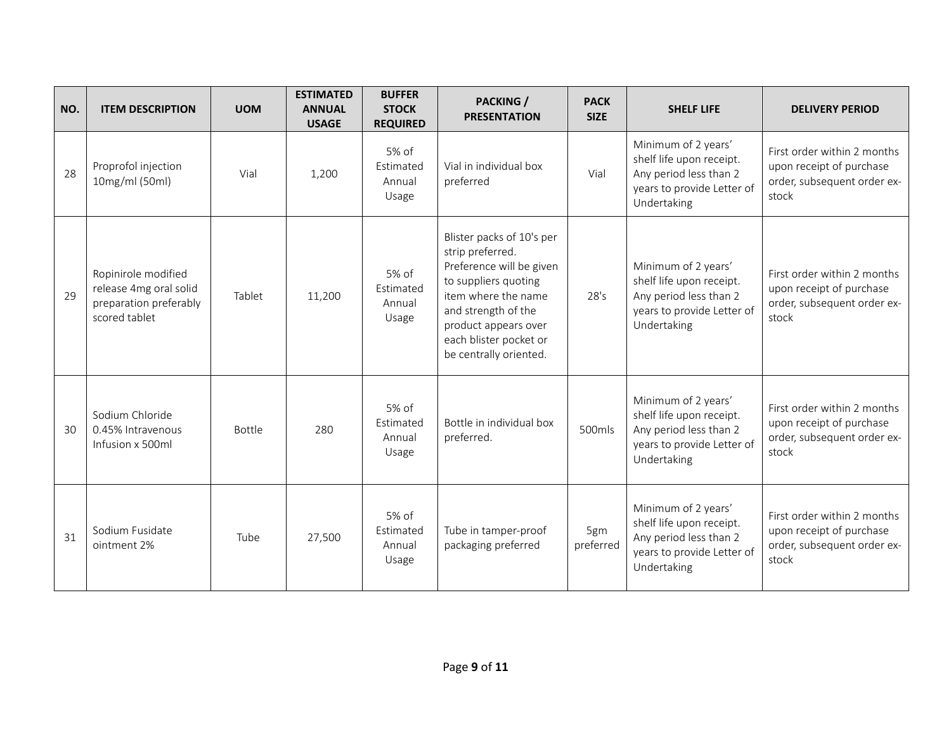| NO. | <b>ITEM DESCRIPTION</b>                                                                  | <b>UOM</b>    | <b>ESTIMATED</b><br><b>ANNUAL</b><br><b>USAGE</b> | <b>BUFFER</b><br><b>STOCK</b><br><b>REQUIRED</b> | <b>PACKING</b> /<br><b>PRESENTATION</b>                                                                                                                                                                                     | <b>PACK</b><br><b>SIZE</b> | <b>SHELF LIFE</b>                                                                                                      | <b>DELIVERY PERIOD</b>                                                                          |
|-----|------------------------------------------------------------------------------------------|---------------|---------------------------------------------------|--------------------------------------------------|-----------------------------------------------------------------------------------------------------------------------------------------------------------------------------------------------------------------------------|----------------------------|------------------------------------------------------------------------------------------------------------------------|-------------------------------------------------------------------------------------------------|
| 28  | Proprofol injection<br>10mg/ml (50ml)                                                    | Vial          | 1,200                                             | 5% of<br>Estimated<br>Annual<br>Usage            | Vial in individual box<br>preferred                                                                                                                                                                                         | Vial                       | Minimum of 2 years'<br>shelf life upon receipt.<br>Any period less than 2<br>years to provide Letter of<br>Undertaking | First order within 2 months<br>upon receipt of purchase<br>order, subsequent order ex-<br>stock |
| 29  | Ropinirole modified<br>release 4mg oral solid<br>preparation preferably<br>scored tablet | Tablet        | 11,200                                            | 5% of<br>Estimated<br>Annual<br>Usage            | Blister packs of 10's per<br>strip preferred.<br>Preference will be given<br>to suppliers quoting<br>item where the name<br>and strength of the<br>product appears over<br>each blister pocket or<br>be centrally oriented. | 28's                       | Minimum of 2 years'<br>shelf life upon receipt.<br>Any period less than 2<br>years to provide Letter of<br>Undertaking | First order within 2 months<br>upon receipt of purchase<br>order, subsequent order ex-<br>stock |
| 30  | Sodium Chloride<br>0.45% Intravenous<br>Infusion x 500ml                                 | <b>Bottle</b> | 280                                               | 5% of<br>Estimated<br>Annual<br>Usage            | Bottle in individual box<br>preferred.                                                                                                                                                                                      | 500mls                     | Minimum of 2 years'<br>shelf life upon receipt.<br>Any period less than 2<br>years to provide Letter of<br>Undertaking | First order within 2 months<br>upon receipt of purchase<br>order, subsequent order ex-<br>stock |
| 31  | Sodium Fusidate<br>ointment 2%                                                           | Tube          | 27,500                                            | 5% of<br>Estimated<br>Annual<br>Usage            | Tube in tamper-proof<br>packaging preferred                                                                                                                                                                                 | 5gm<br>preferred           | Minimum of 2 years'<br>shelf life upon receipt.<br>Any period less than 2<br>years to provide Letter of<br>Undertaking | First order within 2 months<br>upon receipt of purchase<br>order, subsequent order ex-<br>stock |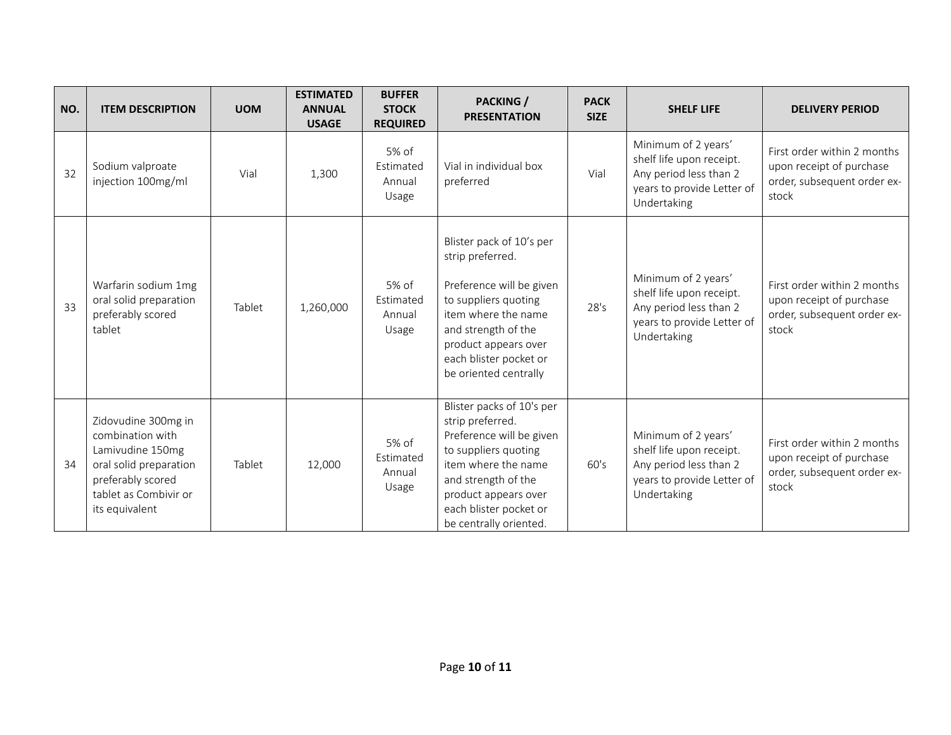| NO. | <b>ITEM DESCRIPTION</b>                                                                                                                               | <b>UOM</b> | <b>ESTIMATED</b><br><b>ANNUAL</b><br><b>USAGE</b> | <b>BUFFER</b><br><b>STOCK</b><br><b>REQUIRED</b> | PACKING /<br><b>PRESENTATION</b>                                                                                                                                                                                            | <b>PACK</b><br><b>SIZE</b> | <b>SHELF LIFE</b>                                                                                                      | <b>DELIVERY PERIOD</b>                                                                          |
|-----|-------------------------------------------------------------------------------------------------------------------------------------------------------|------------|---------------------------------------------------|--------------------------------------------------|-----------------------------------------------------------------------------------------------------------------------------------------------------------------------------------------------------------------------------|----------------------------|------------------------------------------------------------------------------------------------------------------------|-------------------------------------------------------------------------------------------------|
| 32  | Sodium valproate<br>injection 100mg/ml                                                                                                                | Vial       | 1,300                                             | 5% of<br>Estimated<br>Annual<br>Usage            | Vial in individual box<br>preferred                                                                                                                                                                                         | Vial                       | Minimum of 2 years'<br>shelf life upon receipt.<br>Any period less than 2<br>years to provide Letter of<br>Undertaking | First order within 2 months<br>upon receipt of purchase<br>order, subsequent order ex-<br>stock |
| 33  | Warfarin sodium 1mg<br>oral solid preparation<br>preferably scored<br>tablet                                                                          | Tablet     | 1,260,000                                         | 5% of<br>Estimated<br>Annual<br>Usage            | Blister pack of 10's per<br>strip preferred.<br>Preference will be given<br>to suppliers quoting<br>item where the name<br>and strength of the<br>product appears over<br>each blister pocket or<br>be oriented centrally   | 28's                       | Minimum of 2 years'<br>shelf life upon receipt.<br>Any period less than 2<br>years to provide Letter of<br>Undertaking | First order within 2 months<br>upon receipt of purchase<br>order, subsequent order ex-<br>stock |
| 34  | Zidovudine 300mg in<br>combination with<br>Lamivudine 150mg<br>oral solid preparation<br>preferably scored<br>tablet as Combivir or<br>its equivalent | Tablet     | 12,000                                            | 5% of<br>Estimated<br>Annual<br>Usage            | Blister packs of 10's per<br>strip preferred.<br>Preference will be given<br>to suppliers quoting<br>item where the name<br>and strength of the<br>product appears over<br>each blister pocket or<br>be centrally oriented. | 60's                       | Minimum of 2 years'<br>shelf life upon receipt.<br>Any period less than 2<br>years to provide Letter of<br>Undertaking | First order within 2 months<br>upon receipt of purchase<br>order, subsequent order ex-<br>stock |